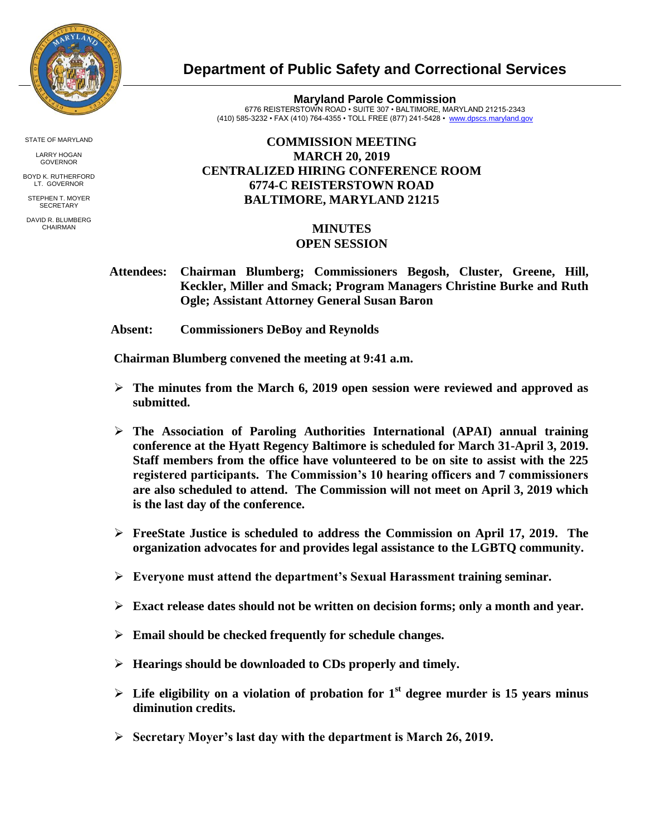

STATE OF MARYLAND

LARRY HOGAN GOVERNOR

BOYD K. RUTHERFORD LT. GOVERNOR

STEPHEN T. MOYER **SECRETARY** 

DAVID R. BLUMBERG CHAIRMAN

## **Department of Public Safety and Correctional Services**

**Maryland Parole Commission** 6776 REISTERSTOWN ROAD • SUITE 307 • BALTIMORE, MARYLAND 21215-2343 (410) 585-3232 • FAX (410) 764-4355 • TOLL FREE (877) 241-5428 • [www.dpscs.maryland.gov](http://www.dpscs.maryland.gov/) 

## **COMMISSION MEETING MARCH 20, 2019 CENTRALIZED HIRING CONFERENCE ROOM 6774-C REISTERSTOWN ROAD BALTIMORE, MARYLAND 21215**

## **MINUTES OPEN SESSION**

- **Attendees: Chairman Blumberg; Commissioners Begosh, Cluster, Greene, Hill, Keckler, Miller and Smack; Program Managers Christine Burke and Ruth Ogle; Assistant Attorney General Susan Baron**
- **Absent: Commissioners DeBoy and Reynolds**

 **Chairman Blumberg convened the meeting at 9:41 a.m.**

- **The minutes from the March 6, 2019 open session were reviewed and approved as submitted.**
- **The Association of Paroling Authorities International (APAI) annual training conference at the Hyatt Regency Baltimore is scheduled for March 31-April 3, 2019. Staff members from the office have volunteered to be on site to assist with the 225 registered participants. The Commission's 10 hearing officers and 7 commissioners are also scheduled to attend. The Commission will not meet on April 3, 2019 which is the last day of the conference.**
- **FreeState Justice is scheduled to address the Commission on April 17, 2019. The organization advocates for and provides legal assistance to the LGBTQ community.**
- **Everyone must attend the department's Sexual Harassment training seminar.**
- **Exact release dates should not be written on decision forms; only a month and year.**
- **Email should be checked frequently for schedule changes.**
- **Hearings should be downloaded to CDs properly and timely.**
- $\triangleright$  Life eligibility on a violation of probation for 1<sup>st</sup> degree murder is 15 years minus **diminution credits.**
- **Secretary Moyer's last day with the department is March 26, 2019.**